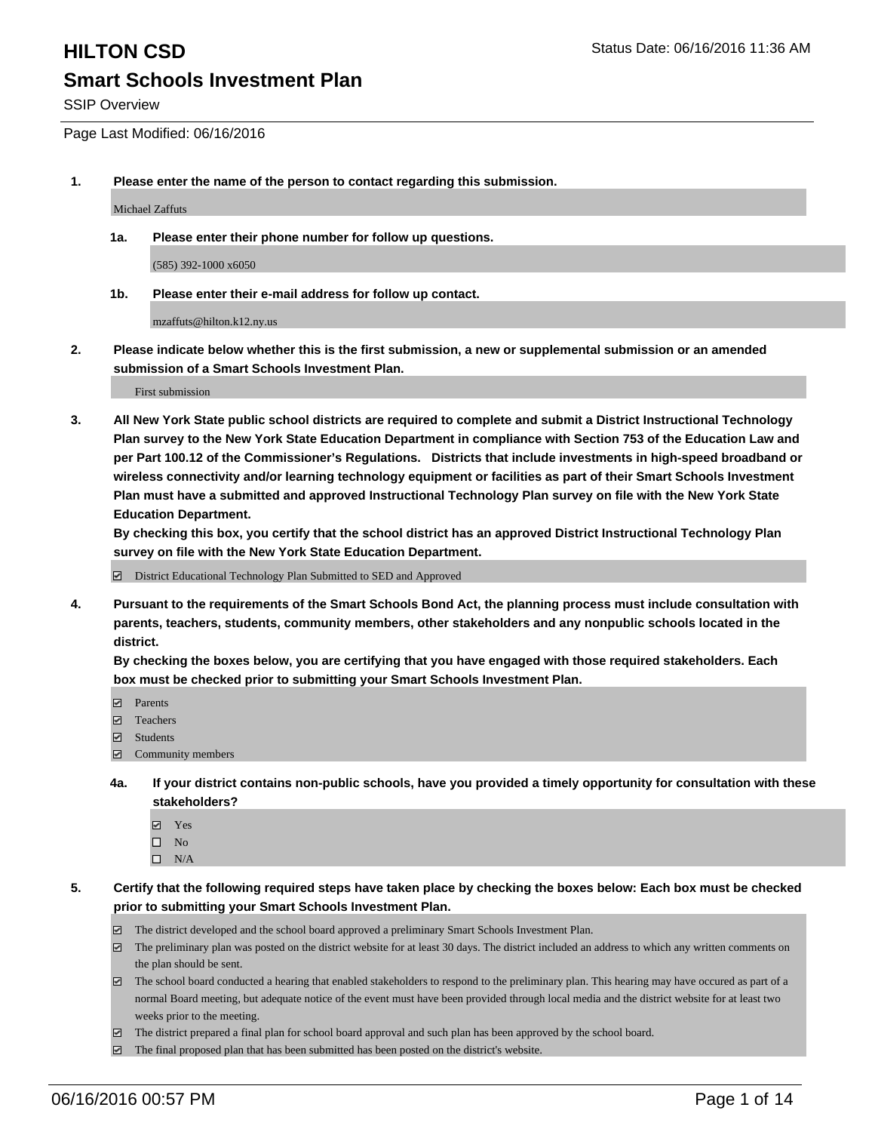SSIP Overview

Page Last Modified: 06/16/2016

**1. Please enter the name of the person to contact regarding this submission.**

Michael Zaffuts

**1a. Please enter their phone number for follow up questions.**

(585) 392-1000 x6050

**1b. Please enter their e-mail address for follow up contact.**

mzaffuts@hilton.k12.ny.us

**2. Please indicate below whether this is the first submission, a new or supplemental submission or an amended submission of a Smart Schools Investment Plan.**

First submission

**3. All New York State public school districts are required to complete and submit a District Instructional Technology Plan survey to the New York State Education Department in compliance with Section 753 of the Education Law and per Part 100.12 of the Commissioner's Regulations. Districts that include investments in high-speed broadband or wireless connectivity and/or learning technology equipment or facilities as part of their Smart Schools Investment Plan must have a submitted and approved Instructional Technology Plan survey on file with the New York State Education Department.** 

**By checking this box, you certify that the school district has an approved District Instructional Technology Plan survey on file with the New York State Education Department.**

District Educational Technology Plan Submitted to SED and Approved

**4. Pursuant to the requirements of the Smart Schools Bond Act, the planning process must include consultation with parents, teachers, students, community members, other stakeholders and any nonpublic schools located in the district.** 

**By checking the boxes below, you are certifying that you have engaged with those required stakeholders. Each box must be checked prior to submitting your Smart Schools Investment Plan.**

- Parents
- □ Teachers
- $\blacksquare$  Students
- Community members
- **4a. If your district contains non-public schools, have you provided a timely opportunity for consultation with these stakeholders?**
	- Yes  $\square$  No
	- $\square$  N/A
- **5. Certify that the following required steps have taken place by checking the boxes below: Each box must be checked prior to submitting your Smart Schools Investment Plan.**
	- The district developed and the school board approved a preliminary Smart Schools Investment Plan.
	- $\boxdot$  The preliminary plan was posted on the district website for at least 30 days. The district included an address to which any written comments on the plan should be sent.
	- The school board conducted a hearing that enabled stakeholders to respond to the preliminary plan. This hearing may have occured as part of a normal Board meeting, but adequate notice of the event must have been provided through local media and the district website for at least two weeks prior to the meeting.
	- The district prepared a final plan for school board approval and such plan has been approved by the school board.
	- $\boxdot$  The final proposed plan that has been submitted has been posted on the district's website.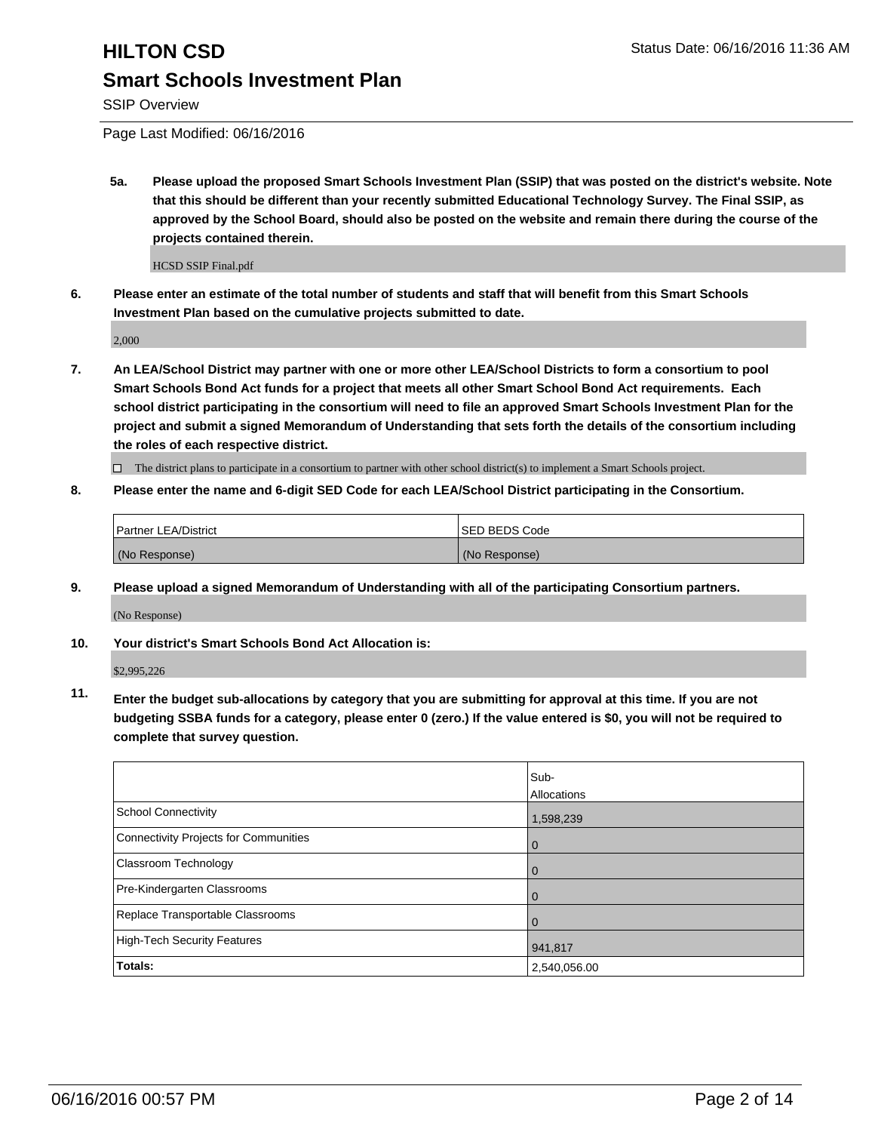SSIP Overview

Page Last Modified: 06/16/2016

**5a. Please upload the proposed Smart Schools Investment Plan (SSIP) that was posted on the district's website. Note that this should be different than your recently submitted Educational Technology Survey. The Final SSIP, as approved by the School Board, should also be posted on the website and remain there during the course of the projects contained therein.**

HCSD SSIP Final.pdf

**6. Please enter an estimate of the total number of students and staff that will benefit from this Smart Schools Investment Plan based on the cumulative projects submitted to date.**

2,000

**7. An LEA/School District may partner with one or more other LEA/School Districts to form a consortium to pool Smart Schools Bond Act funds for a project that meets all other Smart School Bond Act requirements. Each school district participating in the consortium will need to file an approved Smart Schools Investment Plan for the project and submit a signed Memorandum of Understanding that sets forth the details of the consortium including the roles of each respective district.**

 $\Box$  The district plans to participate in a consortium to partner with other school district(s) to implement a Smart Schools project.

**8. Please enter the name and 6-digit SED Code for each LEA/School District participating in the Consortium.**

| <b>Partner LEA/District</b> | ISED BEDS Code |
|-----------------------------|----------------|
| (No Response)               | (No Response)  |

**9. Please upload a signed Memorandum of Understanding with all of the participating Consortium partners.**

(No Response)

**10. Your district's Smart Schools Bond Act Allocation is:**

\$2,995,226

**11. Enter the budget sub-allocations by category that you are submitting for approval at this time. If you are not budgeting SSBA funds for a category, please enter 0 (zero.) If the value entered is \$0, you will not be required to complete that survey question.**

|                                       | Sub-         |
|---------------------------------------|--------------|
|                                       | Allocations  |
| School Connectivity                   | 1,598,239    |
| Connectivity Projects for Communities | O            |
| Classroom Technology                  |              |
| Pre-Kindergarten Classrooms           |              |
| Replace Transportable Classrooms      |              |
| High-Tech Security Features           | 941,817      |
| Totals:                               | 2,540,056.00 |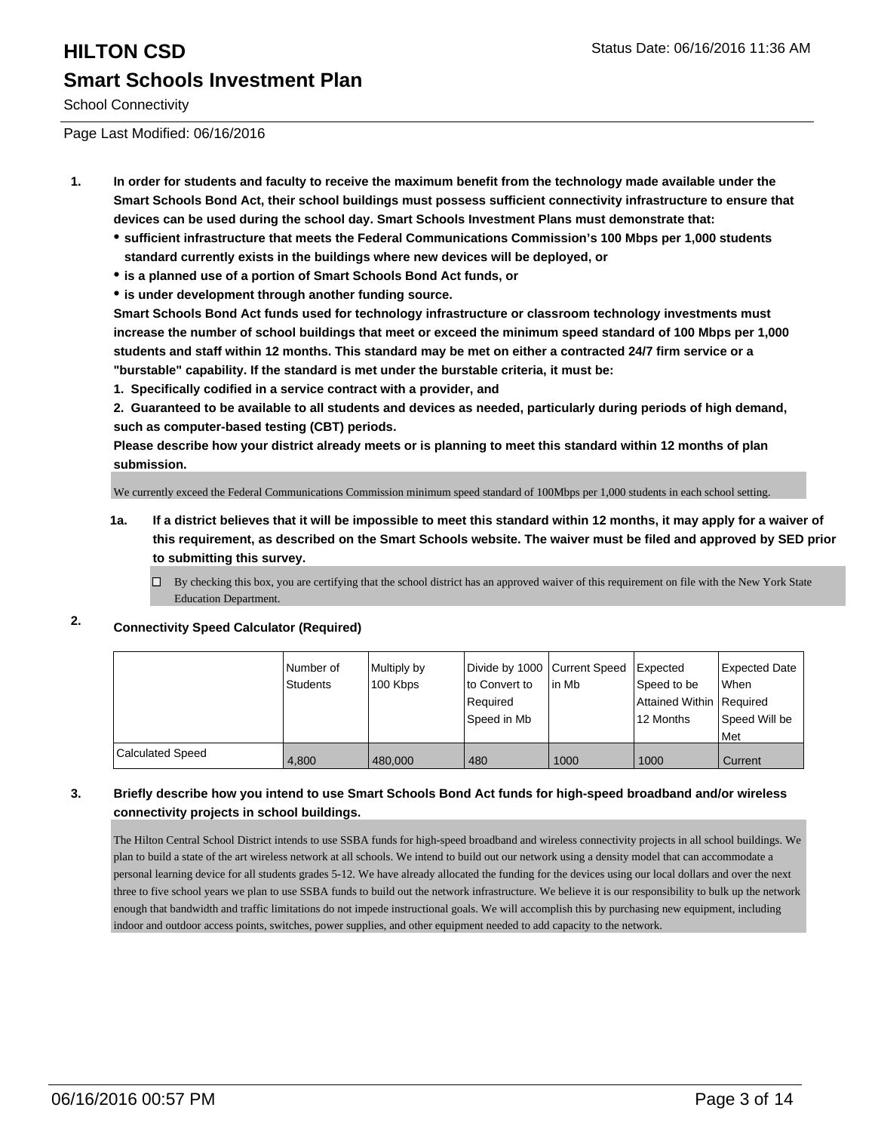School Connectivity

Page Last Modified: 06/16/2016

- **1. In order for students and faculty to receive the maximum benefit from the technology made available under the Smart Schools Bond Act, their school buildings must possess sufficient connectivity infrastructure to ensure that devices can be used during the school day. Smart Schools Investment Plans must demonstrate that:**
	- **sufficient infrastructure that meets the Federal Communications Commission's 100 Mbps per 1,000 students standard currently exists in the buildings where new devices will be deployed, or**
	- **is a planned use of a portion of Smart Schools Bond Act funds, or**
	- **is under development through another funding source.**

**Smart Schools Bond Act funds used for technology infrastructure or classroom technology investments must increase the number of school buildings that meet or exceed the minimum speed standard of 100 Mbps per 1,000 students and staff within 12 months. This standard may be met on either a contracted 24/7 firm service or a "burstable" capability. If the standard is met under the burstable criteria, it must be:**

**1. Specifically codified in a service contract with a provider, and**

**2. Guaranteed to be available to all students and devices as needed, particularly during periods of high demand, such as computer-based testing (CBT) periods.**

**Please describe how your district already meets or is planning to meet this standard within 12 months of plan submission.**

We currently exceed the Federal Communications Commission minimum speed standard of 100Mbps per 1,000 students in each school setting.

- **1a. If a district believes that it will be impossible to meet this standard within 12 months, it may apply for a waiver of this requirement, as described on the Smart Schools website. The waiver must be filed and approved by SED prior to submitting this survey.**
	- $\Box$  By checking this box, you are certifying that the school district has an approved waiver of this requirement on file with the New York State Education Department.

### **2. Connectivity Speed Calculator (Required)**

|                         | Number of<br>Students | Multiply by<br>100 Kbps | Divide by 1000 Current Speed<br>Ito Convert to<br>Required<br> Speed in Mb | in Mb | Expected<br>Speed to be<br>Attained Within Required<br>12 Months | <b>Expected Date</b><br>lWhen<br>Speed Will be<br><b>Met</b> |
|-------------------------|-----------------------|-------------------------|----------------------------------------------------------------------------|-------|------------------------------------------------------------------|--------------------------------------------------------------|
| <b>Calculated Speed</b> | 4.800                 | 480,000                 | 480                                                                        | 1000  | 1000                                                             | Current                                                      |

### **3. Briefly describe how you intend to use Smart Schools Bond Act funds for high-speed broadband and/or wireless connectivity projects in school buildings.**

The Hilton Central School District intends to use SSBA funds for high-speed broadband and wireless connectivity projects in all school buildings. We plan to build a state of the art wireless network at all schools. We intend to build out our network using a density model that can accommodate a personal learning device for all students grades 5-12. We have already allocated the funding for the devices using our local dollars and over the next three to five school years we plan to use SSBA funds to build out the network infrastructure. We believe it is our responsibility to bulk up the network enough that bandwidth and traffic limitations do not impede instructional goals. We will accomplish this by purchasing new equipment, including indoor and outdoor access points, switches, power supplies, and other equipment needed to add capacity to the network.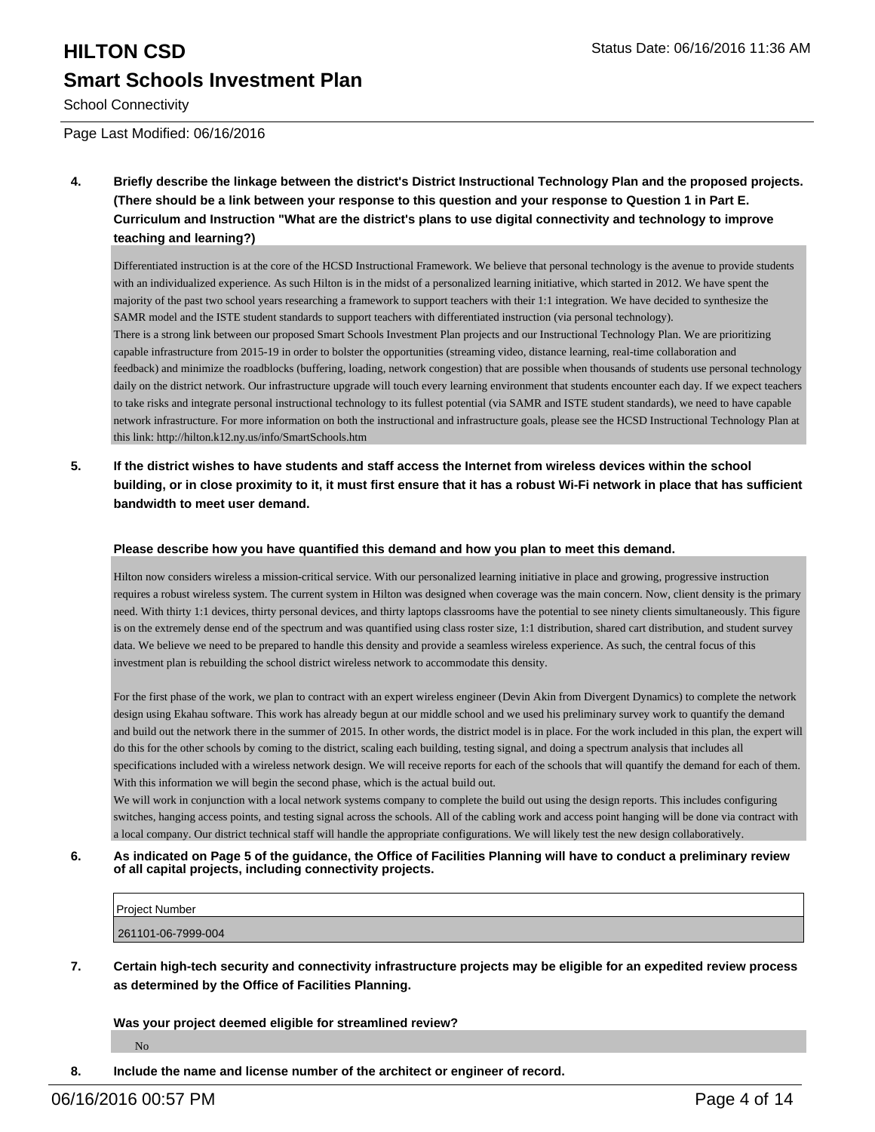# **HILTON CSD Status Date: 06/16/2016 11:36 AM Smart Schools Investment Plan**

School Connectivity

Page Last Modified: 06/16/2016

**4. Briefly describe the linkage between the district's District Instructional Technology Plan and the proposed projects. (There should be a link between your response to this question and your response to Question 1 in Part E. Curriculum and Instruction "What are the district's plans to use digital connectivity and technology to improve teaching and learning?)**

Differentiated instruction is at the core of the HCSD Instructional Framework. We believe that personal technology is the avenue to provide students with an individualized experience. As such Hilton is in the midst of a personalized learning initiative, which started in 2012. We have spent the majority of the past two school years researching a framework to support teachers with their 1:1 integration. We have decided to synthesize the SAMR model and the ISTE student standards to support teachers with differentiated instruction (via personal technology). There is a strong link between our proposed Smart Schools Investment Plan projects and our Instructional Technology Plan. We are prioritizing capable infrastructure from 2015-19 in order to bolster the opportunities (streaming video, distance learning, real-time collaboration and feedback) and minimize the roadblocks (buffering, loading, network congestion) that are possible when thousands of students use personal technology daily on the district network. Our infrastructure upgrade will touch every learning environment that students encounter each day. If we expect teachers to take risks and integrate personal instructional technology to its fullest potential (via SAMR and ISTE student standards), we need to have capable network infrastructure. For more information on both the instructional and infrastructure goals, please see the HCSD Instructional Technology Plan at this link: http://hilton.k12.ny.us/info/SmartSchools.htm

**5. If the district wishes to have students and staff access the Internet from wireless devices within the school building, or in close proximity to it, it must first ensure that it has a robust Wi-Fi network in place that has sufficient bandwidth to meet user demand.**

#### **Please describe how you have quantified this demand and how you plan to meet this demand.**

Hilton now considers wireless a mission-critical service. With our personalized learning initiative in place and growing, progressive instruction requires a robust wireless system. The current system in Hilton was designed when coverage was the main concern. Now, client density is the primary need. With thirty 1:1 devices, thirty personal devices, and thirty laptops classrooms have the potential to see ninety clients simultaneously. This figure is on the extremely dense end of the spectrum and was quantified using class roster size, 1:1 distribution, shared cart distribution, and student survey data. We believe we need to be prepared to handle this density and provide a seamless wireless experience. As such, the central focus of this investment plan is rebuilding the school district wireless network to accommodate this density.

For the first phase of the work, we plan to contract with an expert wireless engineer (Devin Akin from Divergent Dynamics) to complete the network design using Ekahau software. This work has already begun at our middle school and we used his preliminary survey work to quantify the demand and build out the network there in the summer of 2015. In other words, the district model is in place. For the work included in this plan, the expert will do this for the other schools by coming to the district, scaling each building, testing signal, and doing a spectrum analysis that includes all specifications included with a wireless network design. We will receive reports for each of the schools that will quantify the demand for each of them. With this information we will begin the second phase, which is the actual build out.

We will work in conjunction with a local network systems company to complete the build out using the design reports. This includes configuring switches, hanging access points, and testing signal across the schools. All of the cabling work and access point hanging will be done via contract with a local company. Our district technical staff will handle the appropriate configurations. We will likely test the new design collaboratively.

**6. As indicated on Page 5 of the guidance, the Office of Facilities Planning will have to conduct a preliminary review of all capital projects, including connectivity projects.**

| Project Number     |  |
|--------------------|--|
| 261101-06-7999-004 |  |
|                    |  |

**7. Certain high-tech security and connectivity infrastructure projects may be eligible for an expedited review process as determined by the Office of Facilities Planning.**

**Was your project deemed eligible for streamlined review?**

No

**8. Include the name and license number of the architect or engineer of record.**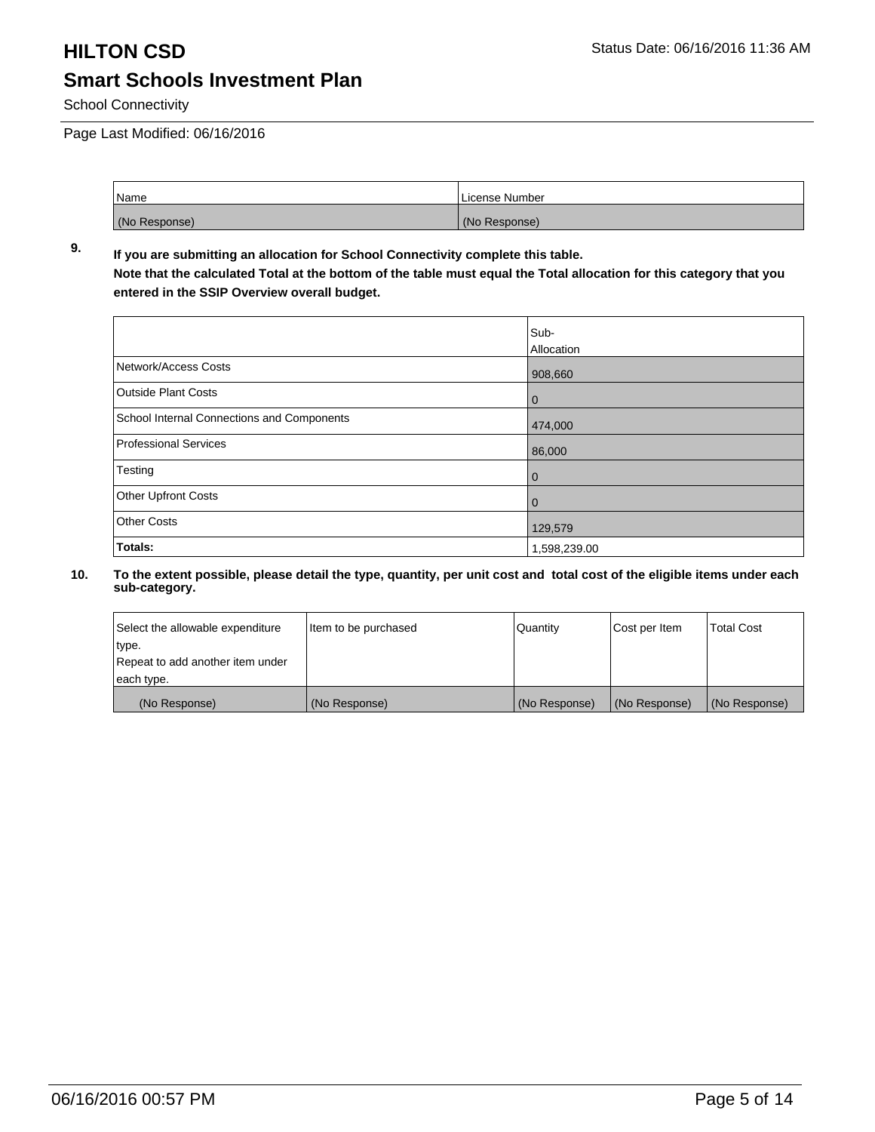School Connectivity

Page Last Modified: 06/16/2016

| Name          | License Number |
|---------------|----------------|
| (No Response) | (No Response)  |

### **9. If you are submitting an allocation for School Connectivity complete this table. Note that the calculated Total at the bottom of the table must equal the Total allocation for this category that you entered in the SSIP Overview overall budget.**

|                                                   | Sub-         |
|---------------------------------------------------|--------------|
|                                                   | Allocation   |
| Network/Access Costs                              | 908,660      |
| <b>Outside Plant Costs</b>                        | $\bf{0}$     |
| <b>School Internal Connections and Components</b> | 474,000      |
| Professional Services                             | 86,000       |
| Testing                                           | $\bf{0}$     |
| Other Upfront Costs                               | 0            |
| Other Costs                                       | 129,579      |
| Totals:                                           | 1,598,239.00 |

| Select the allowable expenditure | Item to be purchased | Quantity      | Cost per Item | <b>Total Cost</b> |
|----------------------------------|----------------------|---------------|---------------|-------------------|
| type.                            |                      |               |               |                   |
| Repeat to add another item under |                      |               |               |                   |
| each type.                       |                      |               |               |                   |
| (No Response)                    | (No Response)        | (No Response) | (No Response) | (No Response)     |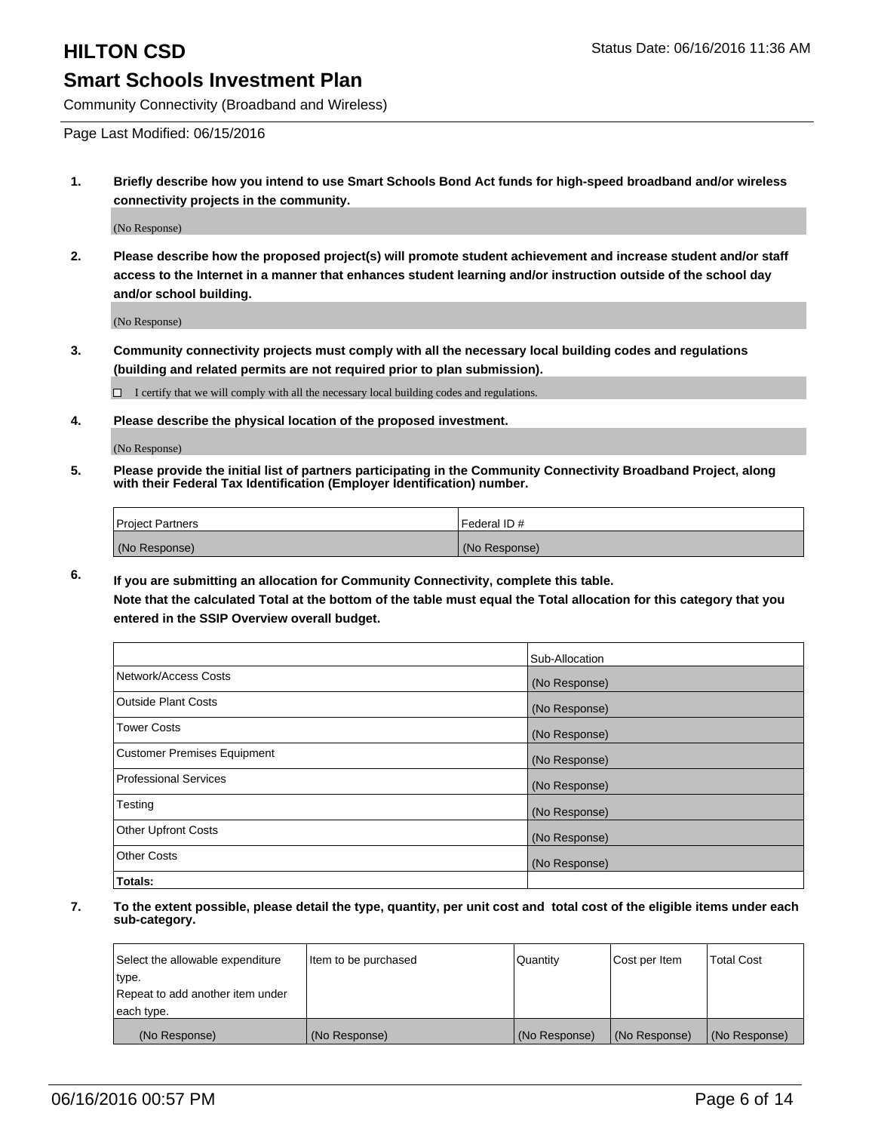Community Connectivity (Broadband and Wireless)

Page Last Modified: 06/15/2016

**1. Briefly describe how you intend to use Smart Schools Bond Act funds for high-speed broadband and/or wireless connectivity projects in the community.**

(No Response)

**2. Please describe how the proposed project(s) will promote student achievement and increase student and/or staff access to the Internet in a manner that enhances student learning and/or instruction outside of the school day and/or school building.**

(No Response)

**3. Community connectivity projects must comply with all the necessary local building codes and regulations (building and related permits are not required prior to plan submission).**

 $\Box$  I certify that we will comply with all the necessary local building codes and regulations.

**4. Please describe the physical location of the proposed investment.**

(No Response)

**5. Please provide the initial list of partners participating in the Community Connectivity Broadband Project, along with their Federal Tax Identification (Employer Identification) number.**

| Project Partners | I Federal ID # |
|------------------|----------------|
| (No Response)    | (No Response)  |

**6. If you are submitting an allocation for Community Connectivity, complete this table.**

**Note that the calculated Total at the bottom of the table must equal the Total allocation for this category that you entered in the SSIP Overview overall budget.**

|                                    | Sub-Allocation |
|------------------------------------|----------------|
| Network/Access Costs               | (No Response)  |
| <b>Outside Plant Costs</b>         | (No Response)  |
| <b>Tower Costs</b>                 | (No Response)  |
| <b>Customer Premises Equipment</b> | (No Response)  |
| Professional Services              | (No Response)  |
| Testing                            | (No Response)  |
| <b>Other Upfront Costs</b>         | (No Response)  |
| Other Costs                        | (No Response)  |
| Totals:                            |                |

| Select the allowable expenditure | Item to be purchased | Quantity      | Cost per Item | <b>Total Cost</b> |
|----------------------------------|----------------------|---------------|---------------|-------------------|
| type.                            |                      |               |               |                   |
| Repeat to add another item under |                      |               |               |                   |
| each type.                       |                      |               |               |                   |
| (No Response)                    | (No Response)        | (No Response) | (No Response) | (No Response)     |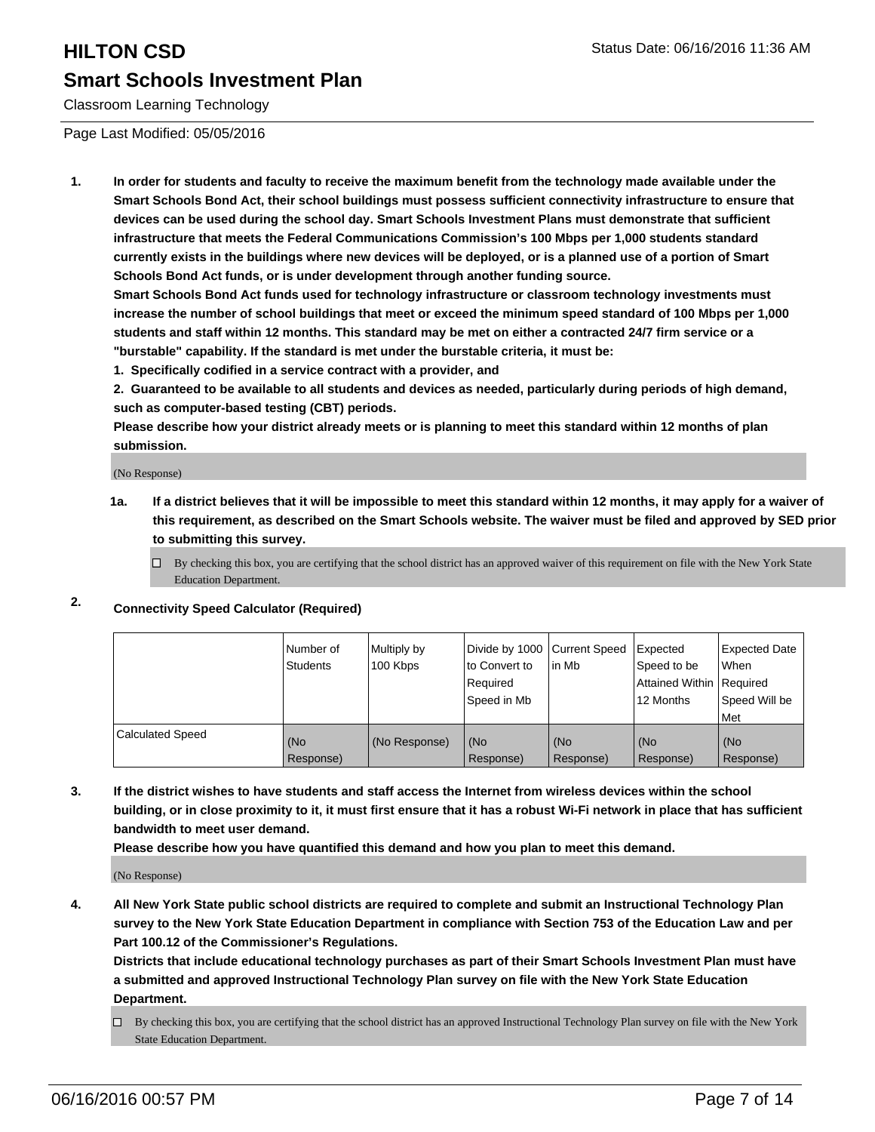Classroom Learning Technology

Page Last Modified: 05/05/2016

**1. In order for students and faculty to receive the maximum benefit from the technology made available under the Smart Schools Bond Act, their school buildings must possess sufficient connectivity infrastructure to ensure that devices can be used during the school day. Smart Schools Investment Plans must demonstrate that sufficient infrastructure that meets the Federal Communications Commission's 100 Mbps per 1,000 students standard currently exists in the buildings where new devices will be deployed, or is a planned use of a portion of Smart Schools Bond Act funds, or is under development through another funding source.**

**Smart Schools Bond Act funds used for technology infrastructure or classroom technology investments must increase the number of school buildings that meet or exceed the minimum speed standard of 100 Mbps per 1,000 students and staff within 12 months. This standard may be met on either a contracted 24/7 firm service or a "burstable" capability. If the standard is met under the burstable criteria, it must be:**

**1. Specifically codified in a service contract with a provider, and**

**2. Guaranteed to be available to all students and devices as needed, particularly during periods of high demand, such as computer-based testing (CBT) periods.**

**Please describe how your district already meets or is planning to meet this standard within 12 months of plan submission.**

(No Response)

- **1a. If a district believes that it will be impossible to meet this standard within 12 months, it may apply for a waiver of this requirement, as described on the Smart Schools website. The waiver must be filed and approved by SED prior to submitting this survey.**
	- $\Box$  By checking this box, you are certifying that the school district has an approved waiver of this requirement on file with the New York State Education Department.
- **2. Connectivity Speed Calculator (Required)**

|                         | l Number of<br>Students | Multiply by<br>100 Kbps | Divide by 1000 Current Speed<br>to Convert to<br>l Reauired<br>Speed in Mb | lin Mb           | Expected<br>Speed to be<br>Attained Within   Required<br>12 Months | Expected Date<br>l When<br>Speed Will be<br>l Met |
|-------------------------|-------------------------|-------------------------|----------------------------------------------------------------------------|------------------|--------------------------------------------------------------------|---------------------------------------------------|
| <b>Calculated Speed</b> | (No<br>Response)        | (No Response)           | (No<br>Response)                                                           | (No<br>Response) | (No<br>Response)                                                   | (No<br>Response)                                  |

**3. If the district wishes to have students and staff access the Internet from wireless devices within the school building, or in close proximity to it, it must first ensure that it has a robust Wi-Fi network in place that has sufficient bandwidth to meet user demand.**

**Please describe how you have quantified this demand and how you plan to meet this demand.**

(No Response)

**4. All New York State public school districts are required to complete and submit an Instructional Technology Plan survey to the New York State Education Department in compliance with Section 753 of the Education Law and per Part 100.12 of the Commissioner's Regulations.**

**Districts that include educational technology purchases as part of their Smart Schools Investment Plan must have a submitted and approved Instructional Technology Plan survey on file with the New York State Education Department.**

By checking this box, you are certifying that the school district has an approved Instructional Technology Plan survey on file with the New York State Education Department.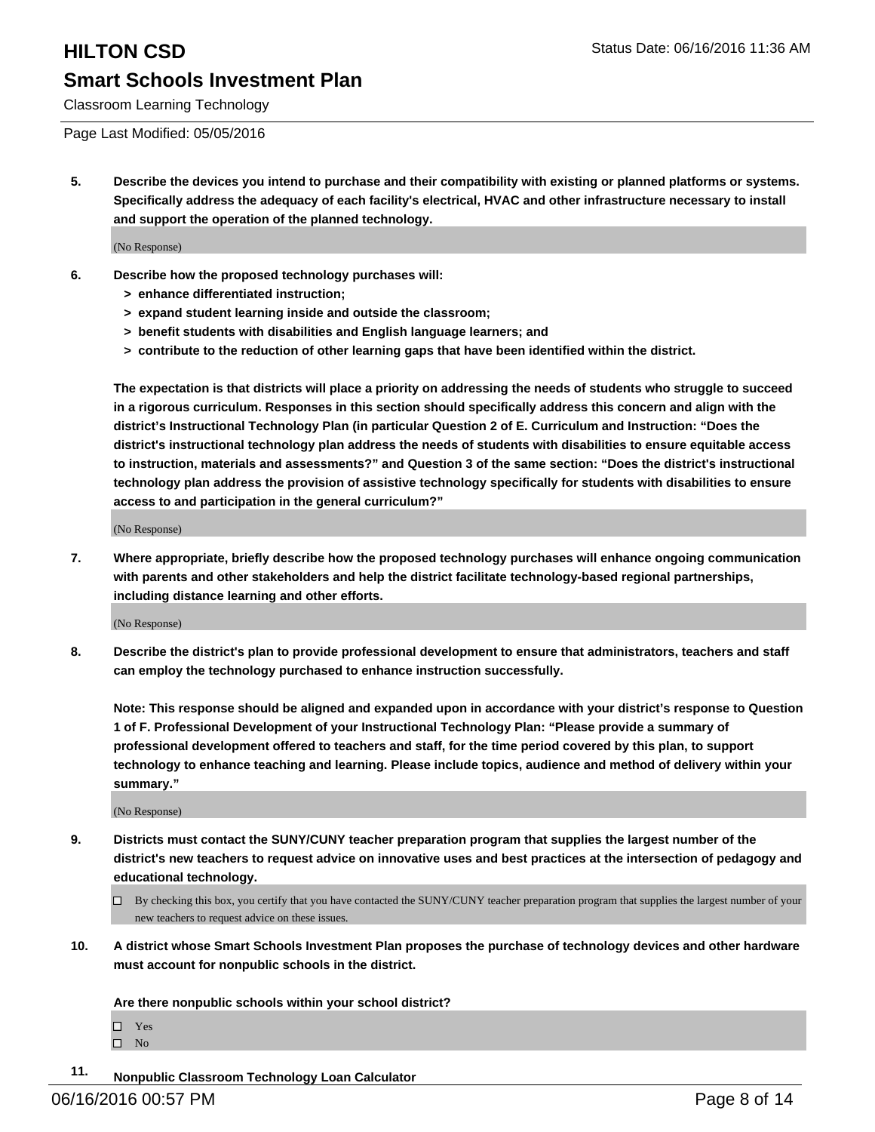Classroom Learning Technology

#### Page Last Modified: 05/05/2016

**5. Describe the devices you intend to purchase and their compatibility with existing or planned platforms or systems. Specifically address the adequacy of each facility's electrical, HVAC and other infrastructure necessary to install and support the operation of the planned technology.**

(No Response)

- **6. Describe how the proposed technology purchases will:**
	- **> enhance differentiated instruction;**
	- **> expand student learning inside and outside the classroom;**
	- **> benefit students with disabilities and English language learners; and**
	- **> contribute to the reduction of other learning gaps that have been identified within the district.**

**The expectation is that districts will place a priority on addressing the needs of students who struggle to succeed in a rigorous curriculum. Responses in this section should specifically address this concern and align with the district's Instructional Technology Plan (in particular Question 2 of E. Curriculum and Instruction: "Does the district's instructional technology plan address the needs of students with disabilities to ensure equitable access to instruction, materials and assessments?" and Question 3 of the same section: "Does the district's instructional technology plan address the provision of assistive technology specifically for students with disabilities to ensure access to and participation in the general curriculum?"**

(No Response)

**7. Where appropriate, briefly describe how the proposed technology purchases will enhance ongoing communication with parents and other stakeholders and help the district facilitate technology-based regional partnerships, including distance learning and other efforts.**

(No Response)

**8. Describe the district's plan to provide professional development to ensure that administrators, teachers and staff can employ the technology purchased to enhance instruction successfully.**

**Note: This response should be aligned and expanded upon in accordance with your district's response to Question 1 of F. Professional Development of your Instructional Technology Plan: "Please provide a summary of professional development offered to teachers and staff, for the time period covered by this plan, to support technology to enhance teaching and learning. Please include topics, audience and method of delivery within your summary."**

(No Response)

- **9. Districts must contact the SUNY/CUNY teacher preparation program that supplies the largest number of the district's new teachers to request advice on innovative uses and best practices at the intersection of pedagogy and educational technology.**
	- $\Box$  By checking this box, you certify that you have contacted the SUNY/CUNY teacher preparation program that supplies the largest number of your new teachers to request advice on these issues.
- **10. A district whose Smart Schools Investment Plan proposes the purchase of technology devices and other hardware must account for nonpublic schools in the district.**

**Are there nonpublic schools within your school district?**

Yes  $\hfill \square$  No

**11. Nonpublic Classroom Technology Loan Calculator**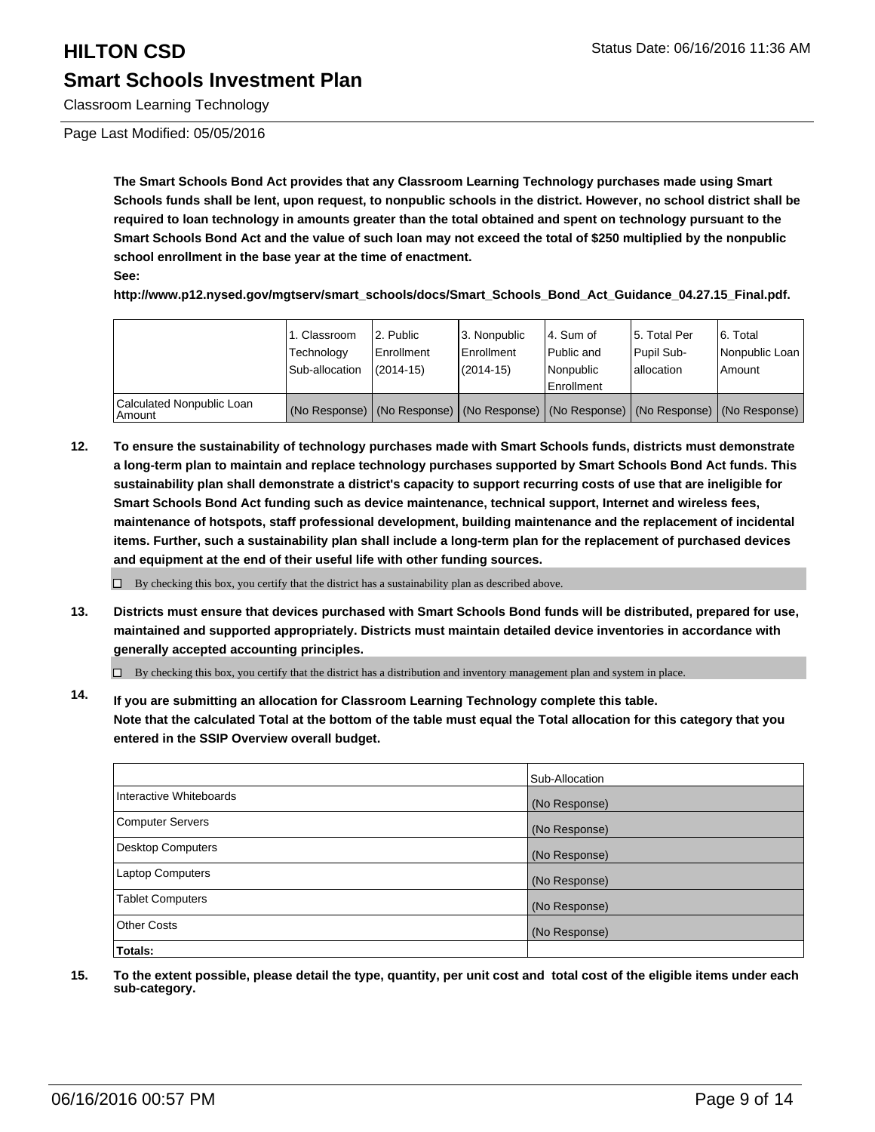# **HILTON CSD Status Date: 06/16/2016 11:36 AM Smart Schools Investment Plan**

Classroom Learning Technology

Page Last Modified: 05/05/2016

**The Smart Schools Bond Act provides that any Classroom Learning Technology purchases made using Smart Schools funds shall be lent, upon request, to nonpublic schools in the district. However, no school district shall be required to loan technology in amounts greater than the total obtained and spent on technology pursuant to the Smart Schools Bond Act and the value of such loan may not exceed the total of \$250 multiplied by the nonpublic school enrollment in the base year at the time of enactment.**

**See:**

**http://www.p12.nysed.gov/mgtserv/smart\_schools/docs/Smart\_Schools\_Bond\_Act\_Guidance\_04.27.15\_Final.pdf.**

|                                     | 1. Classroom<br>Technology<br>Sub-allocation                                                  | 2. Public<br>Enrollment<br>$(2014 - 15)$ | l 3. Nonpublic<br>l Enrollment<br>$(2014 - 15)$ | l 4. Sum of<br>Public and<br>l Nonpublic<br><b>Enrollment</b> | 15. Total Per<br>Pupil Sub-<br>lallocation | 6. Total<br>Nonpublic Loan  <br>Amount |
|-------------------------------------|-----------------------------------------------------------------------------------------------|------------------------------------------|-------------------------------------------------|---------------------------------------------------------------|--------------------------------------------|----------------------------------------|
| Calculated Nonpublic Loan<br>Amount | (No Response)   (No Response)   (No Response)   (No Response)   (No Response)   (No Response) |                                          |                                                 |                                                               |                                            |                                        |

**12. To ensure the sustainability of technology purchases made with Smart Schools funds, districts must demonstrate a long-term plan to maintain and replace technology purchases supported by Smart Schools Bond Act funds. This sustainability plan shall demonstrate a district's capacity to support recurring costs of use that are ineligible for Smart Schools Bond Act funding such as device maintenance, technical support, Internet and wireless fees, maintenance of hotspots, staff professional development, building maintenance and the replacement of incidental items. Further, such a sustainability plan shall include a long-term plan for the replacement of purchased devices and equipment at the end of their useful life with other funding sources.**

 $\Box$  By checking this box, you certify that the district has a sustainability plan as described above.

**13. Districts must ensure that devices purchased with Smart Schools Bond funds will be distributed, prepared for use, maintained and supported appropriately. Districts must maintain detailed device inventories in accordance with generally accepted accounting principles.**

 $\Box$  By checking this box, you certify that the district has a distribution and inventory management plan and system in place.

**14. If you are submitting an allocation for Classroom Learning Technology complete this table. Note that the calculated Total at the bottom of the table must equal the Total allocation for this category that you entered in the SSIP Overview overall budget.**

|                         | Sub-Allocation |
|-------------------------|----------------|
| Interactive Whiteboards | (No Response)  |
| Computer Servers        | (No Response)  |
| Desktop Computers       | (No Response)  |
| Laptop Computers        | (No Response)  |
| <b>Tablet Computers</b> | (No Response)  |
| Other Costs             | (No Response)  |
| <b>Totals:</b>          |                |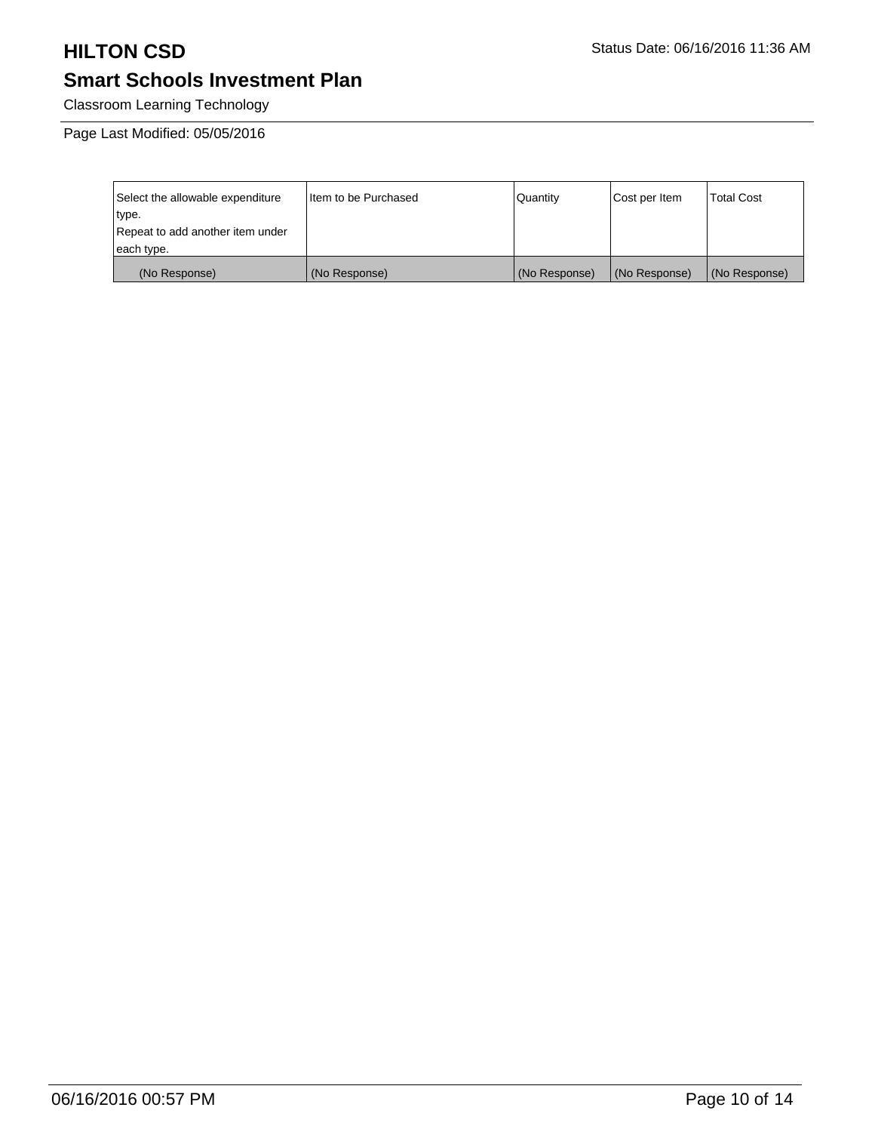Classroom Learning Technology

Page Last Modified: 05/05/2016

| Select the allowable expenditure | Iltem to be Purchased | l Quantitv    | Cost per Item | <b>Total Cost</b> |
|----------------------------------|-----------------------|---------------|---------------|-------------------|
| type.                            |                       |               |               |                   |
| Repeat to add another item under |                       |               |               |                   |
| each type.                       |                       |               |               |                   |
| (No Response)                    | (No Response)         | (No Response) | (No Response) | (No Response)     |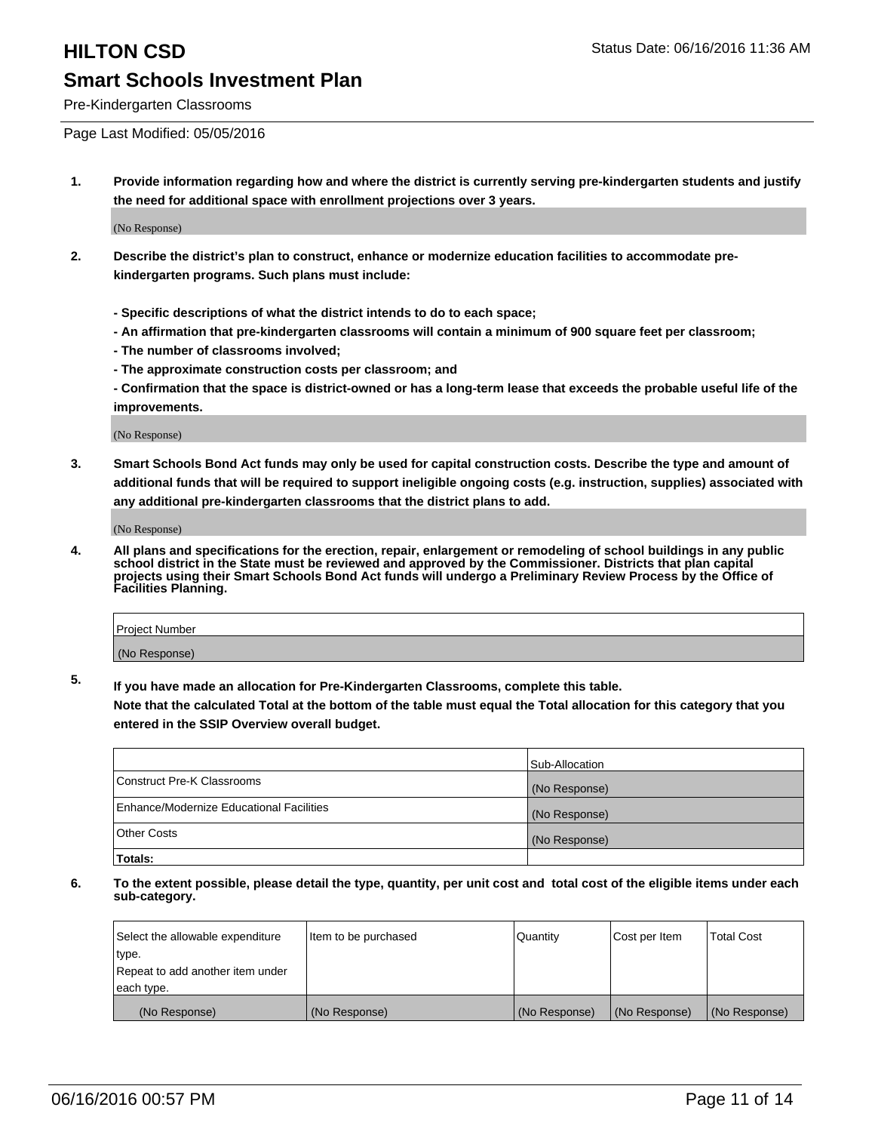Pre-Kindergarten Classrooms

Page Last Modified: 05/05/2016

**1. Provide information regarding how and where the district is currently serving pre-kindergarten students and justify the need for additional space with enrollment projections over 3 years.**

(No Response)

- **2. Describe the district's plan to construct, enhance or modernize education facilities to accommodate prekindergarten programs. Such plans must include:**
	- **Specific descriptions of what the district intends to do to each space;**
	- **An affirmation that pre-kindergarten classrooms will contain a minimum of 900 square feet per classroom;**
	- **The number of classrooms involved;**
	- **The approximate construction costs per classroom; and**
	- **Confirmation that the space is district-owned or has a long-term lease that exceeds the probable useful life of the improvements.**

(No Response)

**3. Smart Schools Bond Act funds may only be used for capital construction costs. Describe the type and amount of additional funds that will be required to support ineligible ongoing costs (e.g. instruction, supplies) associated with any additional pre-kindergarten classrooms that the district plans to add.**

(No Response)

**4. All plans and specifications for the erection, repair, enlargement or remodeling of school buildings in any public school district in the State must be reviewed and approved by the Commissioner. Districts that plan capital projects using their Smart Schools Bond Act funds will undergo a Preliminary Review Process by the Office of Facilities Planning.**

| Project Number |  |
|----------------|--|
| (No Response)  |  |

**5. If you have made an allocation for Pre-Kindergarten Classrooms, complete this table.**

**Note that the calculated Total at the bottom of the table must equal the Total allocation for this category that you entered in the SSIP Overview overall budget.**

|                                          | Sub-Allocation |
|------------------------------------------|----------------|
| Construct Pre-K Classrooms               | (No Response)  |
| Enhance/Modernize Educational Facilities | (No Response)  |
| Other Costs                              | (No Response)  |
| Totals:                                  |                |

| Select the allowable expenditure | litem to be purchased | Quantity      | Cost per Item | <b>Total Cost</b> |
|----------------------------------|-----------------------|---------------|---------------|-------------------|
| type.                            |                       |               |               |                   |
| Repeat to add another item under |                       |               |               |                   |
| each type.                       |                       |               |               |                   |
| (No Response)                    | (No Response)         | (No Response) | (No Response) | (No Response)     |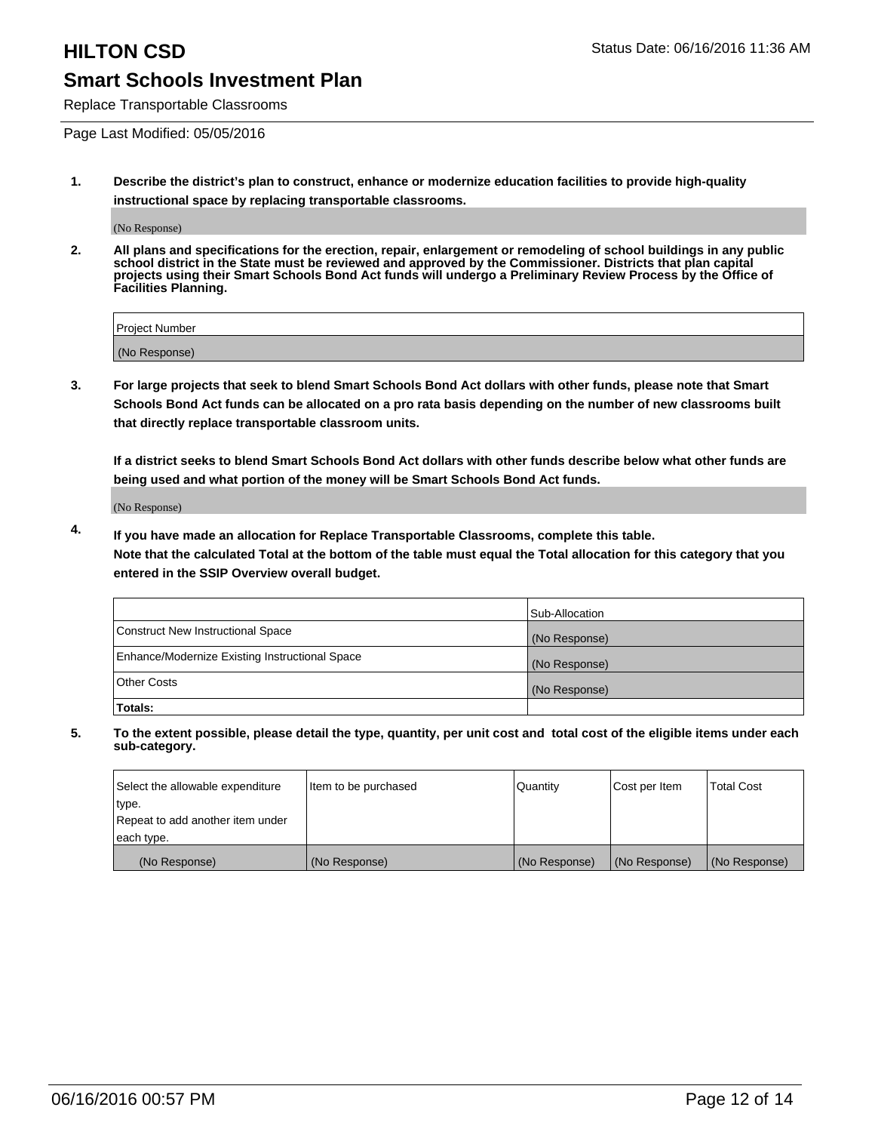Replace Transportable Classrooms

Page Last Modified: 05/05/2016

**1. Describe the district's plan to construct, enhance or modernize education facilities to provide high-quality instructional space by replacing transportable classrooms.**

(No Response)

**2. All plans and specifications for the erection, repair, enlargement or remodeling of school buildings in any public school district in the State must be reviewed and approved by the Commissioner. Districts that plan capital projects using their Smart Schools Bond Act funds will undergo a Preliminary Review Process by the Office of Facilities Planning.**

| <b>Project Number</b> |  |
|-----------------------|--|
| (No Response)         |  |

**3. For large projects that seek to blend Smart Schools Bond Act dollars with other funds, please note that Smart Schools Bond Act funds can be allocated on a pro rata basis depending on the number of new classrooms built that directly replace transportable classroom units.**

**If a district seeks to blend Smart Schools Bond Act dollars with other funds describe below what other funds are being used and what portion of the money will be Smart Schools Bond Act funds.**

(No Response)

**4. If you have made an allocation for Replace Transportable Classrooms, complete this table. Note that the calculated Total at the bottom of the table must equal the Total allocation for this category that you entered in the SSIP Overview overall budget.**

|                                                | Sub-Allocation |
|------------------------------------------------|----------------|
| Construct New Instructional Space              | (No Response)  |
| Enhance/Modernize Existing Instructional Space | (No Response)  |
| <b>Other Costs</b>                             | (No Response)  |
| Totals:                                        |                |

| Select the allowable expenditure | Item to be purchased | <b>Quantity</b> | Cost per Item | <b>Total Cost</b> |
|----------------------------------|----------------------|-----------------|---------------|-------------------|
| type.                            |                      |                 |               |                   |
| Repeat to add another item under |                      |                 |               |                   |
| each type.                       |                      |                 |               |                   |
| (No Response)                    | (No Response)        | (No Response)   | (No Response) | (No Response)     |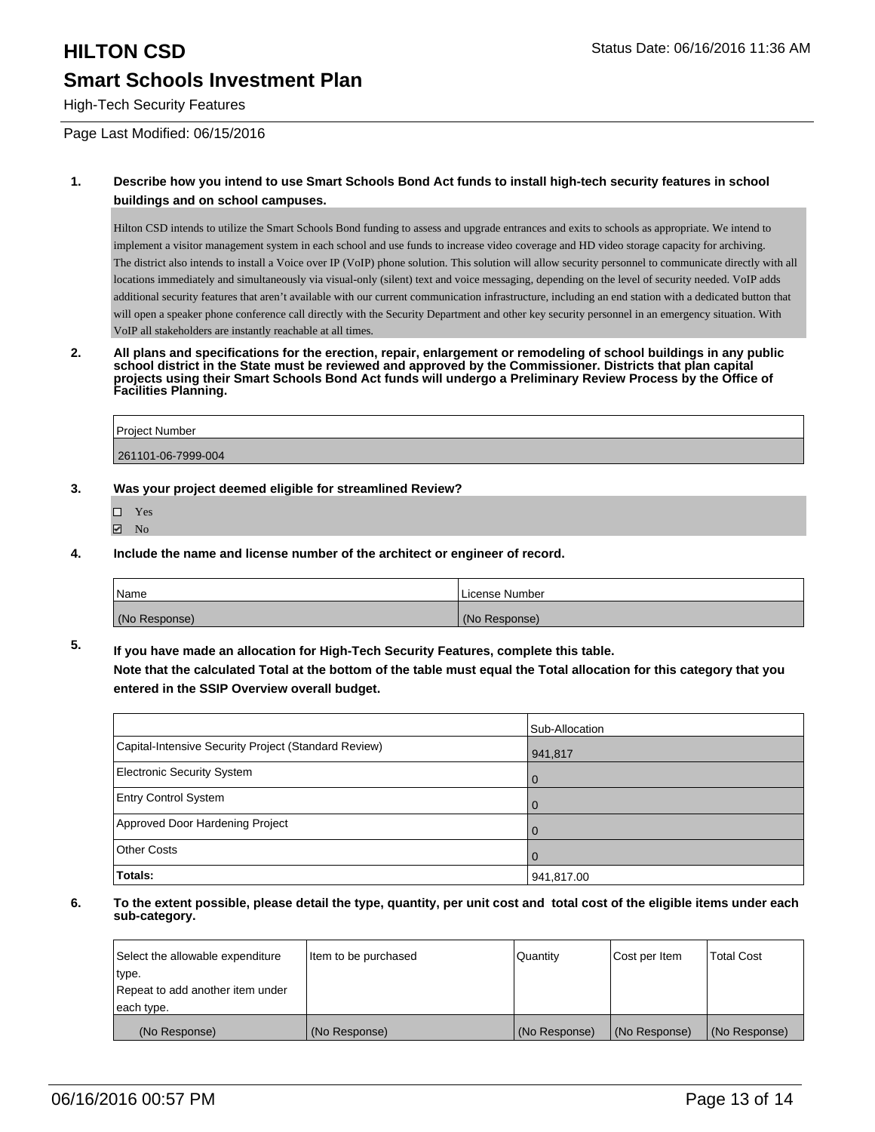# **HILTON CSD Status Date: 06/16/2016 11:36 AM Smart Schools Investment Plan**

High-Tech Security Features

Page Last Modified: 06/15/2016

#### **1. Describe how you intend to use Smart Schools Bond Act funds to install high-tech security features in school buildings and on school campuses.**

Hilton CSD intends to utilize the Smart Schools Bond funding to assess and upgrade entrances and exits to schools as appropriate. We intend to implement a visitor management system in each school and use funds to increase video coverage and HD video storage capacity for archiving. The district also intends to install a Voice over IP (VoIP) phone solution. This solution will allow security personnel to communicate directly with all locations immediately and simultaneously via visual-only (silent) text and voice messaging, depending on the level of security needed. VoIP adds additional security features that aren't available with our current communication infrastructure, including an end station with a dedicated button that will open a speaker phone conference call directly with the Security Department and other key security personnel in an emergency situation. With VoIP all stakeholders are instantly reachable at all times.

**2. All plans and specifications for the erection, repair, enlargement or remodeling of school buildings in any public school district in the State must be reviewed and approved by the Commissioner. Districts that plan capital projects using their Smart Schools Bond Act funds will undergo a Preliminary Review Process by the Office of Facilities Planning.** 

| <b>Project Number</b> |  |
|-----------------------|--|
| 261101-06-7999-004    |  |

- **3. Was your project deemed eligible for streamlined Review?**
	- Yes **☑** No
- **4. Include the name and license number of the architect or engineer of record.**

| <b>Name</b>   | License Number |
|---------------|----------------|
| (No Response) | (No Response)  |

**5. If you have made an allocation for High-Tech Security Features, complete this table. Note that the calculated Total at the bottom of the table must equal the Total allocation for this category that you entered in the SSIP Overview overall budget.**

|                                                      | Sub-Allocation |
|------------------------------------------------------|----------------|
| Capital-Intensive Security Project (Standard Review) | 941,817        |
| <b>Electronic Security System</b>                    | $\Omega$       |
| <b>Entry Control System</b>                          | $\Omega$       |
| Approved Door Hardening Project                      | $\Omega$       |
| <b>Other Costs</b>                                   | l O            |
| Totals:                                              | 941,817.00     |

| Select the allowable expenditure | Item to be purchased | Quantity      | Cost per Item | <b>Total Cost</b> |
|----------------------------------|----------------------|---------------|---------------|-------------------|
| type.                            |                      |               |               |                   |
| Repeat to add another item under |                      |               |               |                   |
| each type.                       |                      |               |               |                   |
| (No Response)                    | (No Response)        | (No Response) | (No Response) | (No Response)     |